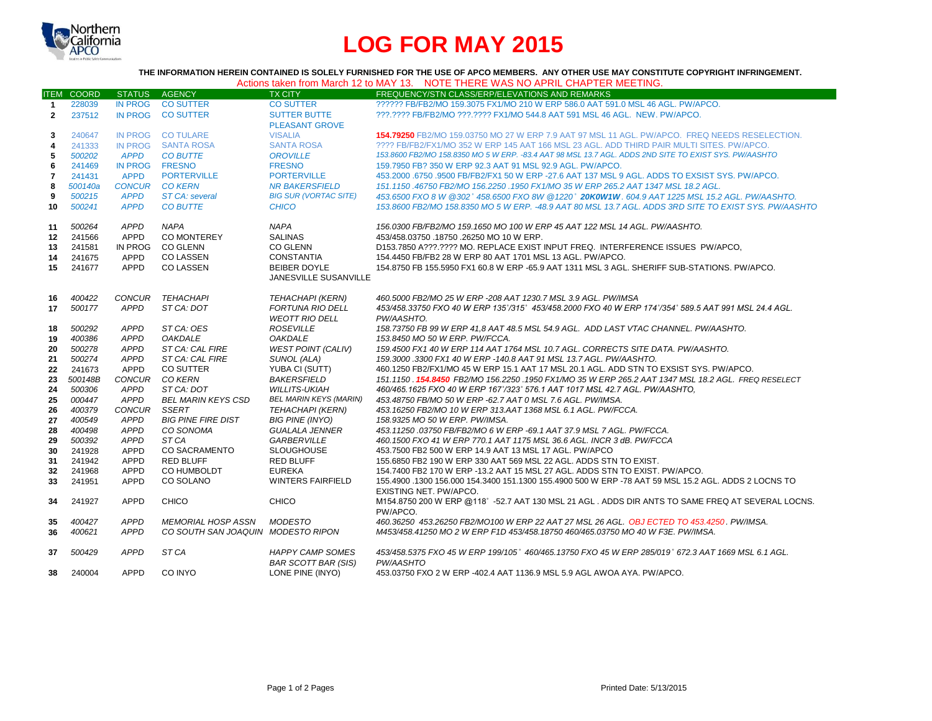

## **LOG FOR MAY 2015**

**THE INFORMATION HEREIN CONTAINED IS SOLELY FURNISHED FOR THE USE OF APCO MEMBERS. ANY OTHER USE MAY CONSTITUTE COPYRIGHT INFRINGEMENT.**

| Actions taken from March 12 to MAY 13. NOTE THERE WAS NO APRIL CHAPTER MEETING. |
|---------------------------------------------------------------------------------|
|---------------------------------------------------------------------------------|

|                | <b>ITEM COORD</b> | STATUS AGENCY  |                                    | <b>TX CITY</b>                                        | FREQUENCY/STN CLASS/ERP/ELEVATIONS AND REMARKS                                                                  |
|----------------|-------------------|----------------|------------------------------------|-------------------------------------------------------|-----------------------------------------------------------------------------------------------------------------|
| $\mathbf{1}$   | 228039            | IN PROG        | <b>CO SUTTER</b>                   | <b>CO SUTTER</b>                                      | ?????? FB/FB2/MO 159.3075 FX1/MO 210 W ERP 586.0 AAT 591.0 MSL 46 AGL. PW/APCO.                                 |
| $\overline{2}$ | 237512            |                | IN PROG CO SUTTER                  | <b>SUTTER BUTTE</b>                                   | ???.???? FB/FB2/MO ???.???? FX1/MO 544.8 AAT 591 MSL 46 AGL. NEW. PW/APCO.                                      |
|                |                   |                |                                    | <b>PLEASANT GROVE</b>                                 |                                                                                                                 |
| 3              | 240647            |                | IN PROG CO TULARE                  | <b>VISALIA</b>                                        | 154.79250 FB2/MO 159.03750 MO 27 W ERP 7.9 AAT 97 MSL 11 AGL, PW/APCO. FREQ NEEDS RESELECTION.                  |
| 4              | 241333            | <b>IN PROG</b> | SANTA ROSA                         | <b>SANTA ROSA</b>                                     | ???? FB/FB2/FX1/MO 352 W ERP 145 AAT 166 MSL 23 AGL. ADD THIRD PAIR MULTI SITES. PW/APCO.                       |
| 5              | 500202            | <b>APPD</b>    | <b>CO BUTTE</b>                    | <b>OROVILLE</b>                                       | 153.8600 FB2/MO 158.8350 MO 5 W ERP. - 83.4 AAT 98 MSL 13.7 AGL. ADDS 2ND SITE TO EXIST SYS. PW/AASHTO          |
| 6              | 241469            | <b>IN PROG</b> | <b>FRESNO</b>                      | <b>FRESNO</b>                                         | 159.7950 FB? 350 W ERP 92.3 AAT 91 MSL 92.9 AGL, PW/APCO.                                                       |
| $\overline{7}$ | 241431            | <b>APPD</b>    | <b>PORTERVILLE</b>                 | <b>PORTERVILLE</b>                                    | 453,2000 .6750 .9500 FB/FB2/FX1 50 W ERP -27.6 AAT 137 MSL 9 AGL. ADDS TO EXSIST SYS, PW/APCO.                  |
| 8              | 500140a           |                | CONCUR CO KERN                     | <b>NR BAKERSFIELD</b>                                 | 151.1150.46750 FB2/MO 156.2250 .1950 FX1/MO 35 W ERP 265.2 AAT 1347 MSL 18.2 AGL.                               |
| 9              | 500215            | <b>APPD</b>    | <b>ST CA: several</b>              | <b>BIG SUR (VORTAC SITE)</b>                          | 453.6500 FXO 8 W @302° 458.6500 FXO 8W @1220° <b>20K0W1W</b> . 604.9 AAT 1225 MSL 15.2 AGL. PW/AASHTO.          |
| 10             | 500241            | <b>APPD</b>    | <b>CO BUTTE</b>                    | <b>CHICO</b>                                          | 153.8600 FB2/MO 158.8350 MO 5 W ERP. -48.9 AAT 80 MSL 13.7 AGL. ADDS 3RD SITE TO EXIST SYS. PW/AASHTO           |
| 11             | 500264            | APPD           | <b>NAPA</b>                        | NAPA                                                  | 156.0300 FB/FB2/MO 159.1650 MO 100 W ERP 45 AAT 122 MSL 14 AGL. PW/AASHTO.                                      |
| 12             | 241566            | APPD           | <b>CO MONTEREY</b>                 | <b>SALINAS</b>                                        | 453/458.03750 .18750 .26250 MO 10 W ERP.                                                                        |
| 13             | 241581            | IN PROG        | <b>CO GLENN</b>                    | <b>CO GLENN</b>                                       | D153.7850 A???.???? MO. REPLACE EXIST INPUT FREQ. INTERFERENCE ISSUES PW/APCO,                                  |
| 14             | 241675            | APPD           | <b>CO LASSEN</b>                   | <b>CONSTANTIA</b>                                     | 154.4450 FB/FB2 28 W ERP 80 AAT 1701 MSL 13 AGL. PW/APCO.                                                       |
| 15             | 241677            | <b>APPD</b>    | <b>CO LASSEN</b>                   | <b>BEIBER DOYLE</b>                                   | 154.8750 FB 155.5950 FX1 60.8 W ERP -65.9 AAT 1311 MSL 3 AGL. SHERIFF SUB-STATIONS, PW/APCO,                    |
|                |                   |                |                                    | <b>JANESVILLE SUSANVILLE</b>                          |                                                                                                                 |
|                |                   |                |                                    |                                                       |                                                                                                                 |
| 16             | 400422            | CONCUR         | TEHACHAPI                          | <b>TEHACHAPI (KERN)</b>                               | 460.5000 FB2/MO 25 W ERP -208 AAT 1230.7 MSL 3.9 AGL. PW/IMSA                                                   |
| 17             | 500177            | APPD           | ST CA: DOT                         | <b>FORTUNA RIO DELL</b>                               | 453/458.33750 FXO 40 W ERP 135°/315° 453/458.2000 FXO 40 W ERP 174°/354° 589.5 AAT 991 MSL 24.4 AGL.            |
|                |                   |                |                                    | <b>WEOTT RIO DELL</b>                                 | PW/AASHTO.                                                                                                      |
| 18             | 500292            | APPD           | ST CA: OES                         | <b>ROSEVILLE</b>                                      | 158.73750 FB 99 W ERP 41,8 AAT 48.5 MSL 54.9 AGL. ADD LAST VTAC CHANNEL. PW/AASHTO.                             |
| 19             | 400386            | <b>APPD</b>    | <b>OAKDALE</b>                     | <b>OAKDALE</b>                                        | 153.8450 MO 50 W ERP. PW/FCCA.                                                                                  |
| 20             | 500278            | APPD           | ST CA: CAL FIRE                    | <b>WEST POINT (CALIV)</b>                             | 159.4500 FX1 40 W ERP 114 AAT 1764 MSL 10.7 AGL. CORRECTS SITE DATA, PW/AASHTO,                                 |
| 21             | 500274            | <b>APPD</b>    | ST CA: CAL FIRE                    | SUNOL (ALA)                                           | 159.3000 .3300 FX1 40 W ERP -140.8 AAT 91 MSL 13.7 AGL. PW/AASHTO.                                              |
| 22             | 241673            | APPD           | CO SUTTER                          | YUBA CI (SUTT)                                        | 460.1250 FB2/FX1/MO 45 W ERP 15.1 AAT 17 MSL 20.1 AGL. ADD STN TO EXSIST SYS. PW/APCO.                          |
| 23             | 500148B           | <b>CONCUR</b>  | CO KERN                            | <b>BAKERSFIELD</b>                                    | 151.1150 . <b>154.8450 FB</b> 2/MO 156.2250 . 1950 FX1/MO 35 W ERP 265.2 AAT 1347 MSL 18.2 AGL. FREQ RESELECT   |
| 24             | 500306            | APPD           | ST CA: DOT                         | <b>WILLITS-UKIAH</b>                                  | 460/465.1625 FXO 40 W ERP 167°/323° 576.1 AAT 1017 MSL 42.7 AGL. PW/AASHTO,                                     |
| 25             | 000447            | <b>APPD</b>    | <b>BEL MARIN KEYS CSD</b>          | <b>BEL MARIN KEYS (MARIN)</b>                         | 453.48750 FB/MO 50 W ERP -62.7 AAT 0 MSL 7.6 AGL, PW/IMSA.                                                      |
| 26             | 400379            | <b>CONCUR</b>  | SSERT                              | <b>TEHACHAPI (KERN)</b>                               | 453.16250 FB2/MO 10 W ERP 313.AAT 1368 MSL 6.1 AGL, PW/FCCA.                                                    |
| 27             | 400549            | APPD           | <b>BIG PINE FIRE DIST</b>          | <b>BIG PINE (INYO)</b>                                | 158.9325 MO 50 W ERP. PW/IMSA.                                                                                  |
| 28             | 400498            | <b>APPD</b>    | CO SONOMA                          | <b>GUALALA JENNER</b>                                 | 453.11250.03750 FB/FB2/MO 6 W ERP -69.1 AAT 37.9 MSL 7 AGL. PW/FCCA.                                            |
| 29             | 500392            | <b>APPD</b>    | ST CA                              | <b>GARBERVILLE</b>                                    | 460.1500 FXO 41 W ERP 770.1 AAT 1175 MSL 36.6 AGL. INCR 3 dB. PW/FCCA                                           |
| 30             | 241928            | <b>APPD</b>    | <b>CO SACRAMENTO</b>               | <b>SLOUGHOUSE</b>                                     | 453.7500 FB2 500 W ERP 14.9 AAT 13 MSL 17 AGL, PW/APCO                                                          |
| 31             | 241942            | APPD           | <b>RED BLUFF</b>                   | <b>RED BLUFF</b>                                      | 155,6850 FB2 190 W ERP 330 AAT 569 MSL 22 AGL, ADDS STN TO EXIST.                                               |
| 32             | 241968            | <b>APPD</b>    | CO HUMBOLDT                        | <b>EUREKA</b>                                         | 154,7400 FB2 170 W ERP -13.2 AAT 15 MSL 27 AGL, ADDS STN TO EXIST, PW/APCO.                                     |
| 33             | 241951            | <b>APPD</b>    | CO SOLANO                          | <b>WINTERS FAIRFIELD</b>                              | 155.4900 .1300 156.000 154.3400 151.1300 155.4900 500 W ERP -78 AAT 59 MSL 15.2 AGL. ADDS 2 LOCNS TO            |
|                |                   |                |                                    |                                                       | EXISTING NET. PW/APCO.                                                                                          |
| 34             | 241927            | <b>APPD</b>    | <b>CHICO</b>                       | <b>CHICO</b>                                          | M154.8750 200 W ERP @118° -52.7 AAT 130 MSL 21 AGL. ADDS DIR ANTS TO SAME FREQ AT SEVERAL LOCNS.<br>PW/APCO.    |
| 35             | 400427            | <b>APPD</b>    | MEMORIAL HOSP ASSN                 | <b>MODESTO</b>                                        | 460.36250 453.26250 FB2/MO100 W ERP 22 AAT 27 MSL 26 AGL, OBJ ECTED TO 453.4250, PW/IMSA.                       |
| 36             | 400621            | <b>APPD</b>    | CO SOUTH SAN JOAQUIN MODESTO RIPON |                                                       | M453/458.41250 MO 2 W ERP F1D 453/458.18750 460/465.03750 MO 40 W F3E. PW/IMSA.                                 |
|                |                   |                |                                    |                                                       |                                                                                                                 |
| 37             | 500429            | <b>APPD</b>    | ST CA                              | <b>HAPPY CAMP SOMES</b><br><b>BAR SCOTT BAR (SIS)</b> | 453/458.5375 FXO 45 W ERP 199/105° 460/465.13750 FXO 45 W ERP 285/019° 672.3 AAT 1669 MSL 6.1 AGL.<br>PW/AASHTO |
| 38             | 240004            | <b>APPD</b>    | CO INYO                            | LONE PINE (INYO)                                      | 453.03750 FXO 2 W ERP -402.4 AAT 1136.9 MSL 5.9 AGL AWOA AYA. PW/APCO.                                          |
|                |                   |                |                                    |                                                       |                                                                                                                 |